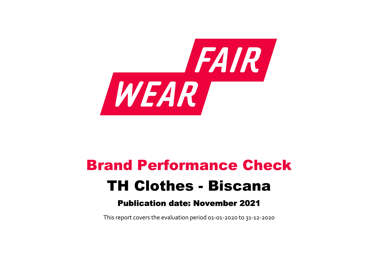

# Brand Performance Check TH Clothes - Biscana

# Publication date: November 2021

This report covers the evaluation period 01‐01‐2020 to 31‐12‐2020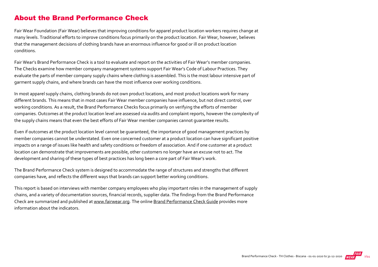### About the Brand Performance Check

Fair Wear Foundation (Fair Wear) believes that improving conditions for apparel product location workers requires change at many levels. Traditional efforts to improve conditions focus primarily on the product location. Fair Wear, however, believes that the management decisions of clothing brands have an enormous influence for good or ill on product location conditions.

Fair Wear's Brand Performance Check is a tool to evaluate and report on the activities of Fair Wear's member companies. The Checks examine how member company management systems support Fair Wear's Code of Labour Practices. They evaluate the parts of member company supply chains where clothing is assembled. This is the most labour intensive part of garment supply chains, and where brands can have the most influence over working conditions.

In most apparel supply chains, clothing brands do not own product locations, and most product locations work for many different brands. This means that in most cases Fair Wear member companies have influence, but not direct control, over working conditions. As a result, the Brand Performance Checks focus primarily on verifying the efforts of member companies. Outcomes at the product location level are assessed via audits and complaint reports, however the complexity of the supply chains means that even the best efforts of Fair Wear member companies cannot guarantee results.

Even if outcomes at the product location level cannot be guaranteed, the importance of good management practices by member companies cannot be understated. Even one concerned customer at a product location can have significant positive impacts on a range of issues like health and safety conditions or freedom of association. And if one customer at a product location can demonstrate that improvements are possible, other customers no longer have an excuse not to act. The development and sharing of these types of best practices has long been a core part of Fair Wear's work.

The Brand Performance Check system is designed to accommodate the range of structures and strengths that different companies have, and reflects the different ways that brands can support better working conditions.

This report is based on interviews with member company employees who play important roles in the management of supply chains, and a variety of documentation sources, financial records, supplier data. The findings from the Brand Performance Check are summarized and published at [www.fairwear.org](http://www.fairwear.org/). The online [Brand Performance Check Guide](https://api.fairwear.org/wp-content/uploads/2020/03/FWF_BrandPerformanceCheckGuide-DEF.pdf) provides more information about the indicators.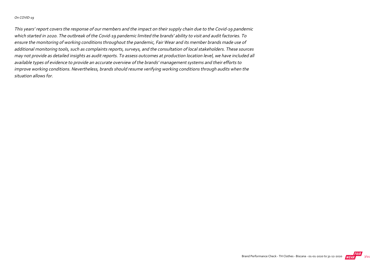#### On COVID‐19

This years' report covers the response of our members and the impact on their supply chain due to the Covid‐19 pandemic which started in 2020. The outbreak of the Covid‐19 pandemic limited the brands' ability to visit and audit factories. To ensure the monitoring of working conditions throughout the pandemic, Fair Wear and its member brands made use of additional monitoring tools, such as complaints reports, surveys, and the consultation of local stakeholders. These sources may not provide as detailed insights as audit reports. To assess outcomes at production location level, we have included all available types of evidence to provide an accurate overview of the brands' management systems and their efforts to improve working conditions. Nevertheless, brands should resume verifying working conditions through audits when the situation allows for.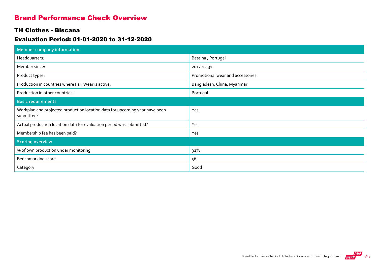## Brand Performance Check Overview

#### TH Clothes - Biscana

#### Evaluation Period: 01-01-2020 to 31-12-2020

| Member company information                                                                |                                  |
|-------------------------------------------------------------------------------------------|----------------------------------|
| Headquarters:                                                                             | Batalha, Portugal                |
| Member since:                                                                             | 2017-12-31                       |
| Product types:                                                                            | Promotional wear and accessories |
| Production in countries where Fair Wear is active:                                        | Bangladesh, China, Myanmar       |
| Production in other countries:                                                            | Portugal                         |
| <b>Basic requirements</b>                                                                 |                                  |
| Workplan and projected production location data for upcoming year have been<br>submitted? | Yes                              |
| Actual production location data for evaluation period was submitted?                      | Yes                              |
| Membership fee has been paid?                                                             | Yes                              |
| <b>Scoring overview</b>                                                                   |                                  |
| % of own production under monitoring                                                      | 92%                              |
| Benchmarking score                                                                        | 56                               |
| Category                                                                                  | Good                             |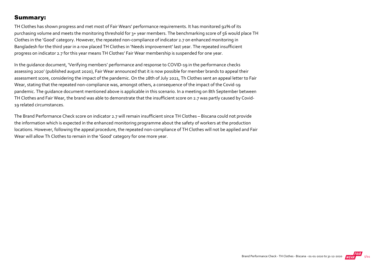### Summary:

TH Clothes has shown progress and met most of Fair Wears' performance requirements. It has monitored 92% of its purchasing volume and meets the monitoring threshold for 3+ year members. The benchmarking score of 56 would place TH Clothes in the 'Good' category. However, the repeated non‐compliance of indicator 2.7 on enhanced monitoring in Bangladesh for the third year in a row placed TH Clothes in 'Needs improvement' last year. The repeated insufficient progress on indicator 2.7 for this year means TH Clothes' Fair Wear membership is suspended for one year.

In the guidance document, 'Verifying members' performance and response to COVID‐19 in the performance checks assessing 2020' (published august 2020), Fair Wear announced that it is now possible for member brands to appeal their assessment score, considering the impact of the pandemic. On the 28th of July 2021, Th Clothes sent an appeal letter to Fair Wear, stating that the repeated non-compliance was, amongst others, a consequence of the impact of the Covid-19 pandemic. The guidance document mentioned above is applicable in this scenario. In a meeting on 8th September between TH Clothes and Fair Wear, the brand was able to demonstrate that the insufficient score on 2.7 was partly caused by Covid‐ 19 related circumstances.

The Brand Performance Check score on indicator 2.7 will remain insufficient since TH Clothes – Biscana could not provide the information which is expected in the enhanced monitoring programme about the safety of workers at the production locations. However, following the appeal procedure, the repeated non‐compliance of TH Clothes will not be applied and Fair Wear will allow Th Clothes to remain in the 'Good' category for one more year.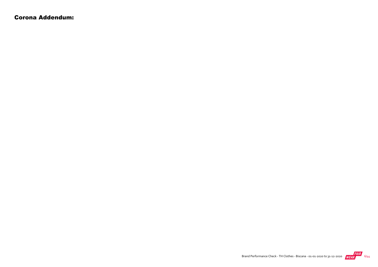Corona Addendum: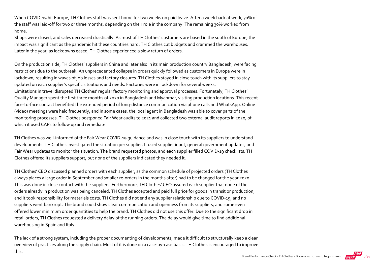When COVID-19 hit Europe, TH Clothes staff was sent home for two weeks on paid leave. After a week back at work, 70% of the staff was laid-off for two or three months, depending on their role in the company. The remaining 30% worked from home.

Shops were closed, and sales decreased drastically. As most of TH Clothes' customers are based in the south of Europe, the impact was significant as the pandemic hit these countries hard. TH Clothes cut budgets and crammed the warehouses. Later in the year, as lockdowns eased, TH Clothes experienced a slow return of orders.

On the production side, TH Clothes' suppliers in China and later also in its main production country Bangladesh, were facing restrictions due to the outbreak. An unprecedented collapse in orders quickly followed as customers in Europe were in lockdown, resulting in waves of job losses and factory closures. TH Clothes stayed in close touch with its suppliers to stay updated on each supplier's specific situations and needs. Factories were in lockdown for several weeks. Limitations in travel disrupted TH Clothes' regular factory monitoring and approval processes. Fortunately, TH Clothes' Quality Manager spent the first three months of 2020 in Bangladesh and Myanmar, visiting production locations. This recent face-to-face contact benefited the extended period of long-distance communication via phone calls and WhatsApp. Online (video) meetings were held frequently, and in some cases, the local agent in Bangladesh was able to cover parts of the monitoring processes. TH Clothes postponed Fair Wear audits to 2021 and collected two external audit reports in 2020, of which it used CAPs to follow up and remediate.

TH Clothes was well‐informed of the Fair Wear COVID‐19 guidance and was in close touch with its suppliers to understand developments. TH Clothes investigated the situation per supplier. It used supplier input, general government updates, and Fair Wear updates to monitor the situation. The brand requested photos, and each supplier filled COVID‐19 checklists. TH Clothes offered its suppliers support, but none of the suppliers indicated they needed it.

TH Clothes' CEO discussed planned orders with each supplier, as the common schedule of projected orders (TH Clothes always places a large order in September and smaller re‐orders in the months after) had to be changed for the year 2020. This was done in close contact with the suppliers. Furthermore, TH Clothes' CEO assured each supplier that none of the orders already in production was being canceled. TH Clothes accepted and paid full price for goods in transit or production, and it took responsibility for materials costs. TH Clothes did not end any supplier relationship due to COVID‐19, and no suppliers went bankrupt. The brand could show clear communication and openness from its suppliers, and some even offered lower minimum order quantities to help the brand. TH Clothes did not use this offer. Due to the significant drop in retail orders, TH Clothes requested a delivery delay of the running orders. The delay would give time to find additional warehousing in Spain and Italy.

The lack of a strong system, including the proper documenting of developments, made it difficult to structurally keep a clear overview of practices along the supply chain. Most of it is done on a case‐by‐case basis. TH Clothes is encouraged to improve this.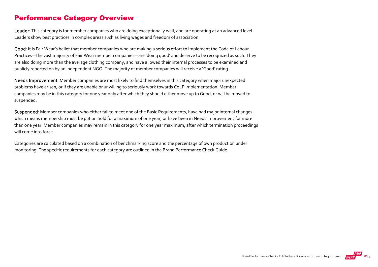## Performance Category Overview

Leader: This category is for member companies who are doing exceptionally well, and are operating at an advanced level. Leaders show best practices in complex areas such as living wages and freedom of association.

Good: It is Fair Wear's belief that member companies who are making a serious effort to implement the Code of Labour Practices—the vast majority of Fair Wear member companies—are 'doing good' and deserve to be recognized as such. They are also doing more than the average clothing company, and have allowed their internal processes to be examined and publicly reported on by an independent NGO. The majority of member companies will receive a 'Good' rating.

Needs Improvement: Member companies are most likely to find themselves in this category when major unexpected problems have arisen, or if they are unable or unwilling to seriously work towards CoLP implementation. Member companies may be in this category for one year only after which they should either move up to Good, or will be moved to suspended.

Suspended: Member companies who either fail to meet one of the Basic Requirements, have had major internal changes which means membership must be put on hold for a maximum of one year, or have been in Needs Improvement for more than one year. Member companies may remain in this category for one year maximum, after which termination proceedings will come into force.

Categories are calculated based on a combination of benchmarking score and the percentage of own production under monitoring. The specific requirements for each category are outlined in the Brand Performance Check Guide.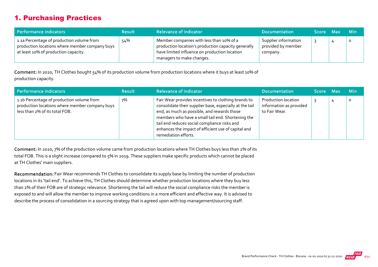## 1. Purchasing Practices

| Performance indicators                                                                                                              | <b>Result</b> | <b>Relevance of Indicator</b>                                                                                                                                                 | <b>Documentation</b>                                   | Score Max | <b>Min</b> |
|-------------------------------------------------------------------------------------------------------------------------------------|---------------|-------------------------------------------------------------------------------------------------------------------------------------------------------------------------------|--------------------------------------------------------|-----------|------------|
| 1.1a Percentage of production volume from<br>production locations where member company buys<br>at least 10% of production capacity. | 54%           | Member companies with less than 10% of a<br>production location's production capacity generally<br>have limited influence on production location<br>managers to make changes. | Supplier information<br>provided by member<br>company. |           | $\circ$    |

Comment: In 2020, TH Clothes bought 54% of its production volume from production locations where it buys at least 10% of production capacity.

| Performance indicators                                                                                                        | <b>Result</b> | <b>Relevance of Indicator</b>                                                                                                                                                                                                                                                                                                                     | <b>Documentation</b>                                            | <b>Score</b> | Z Max | <b>Min</b> |
|-------------------------------------------------------------------------------------------------------------------------------|---------------|---------------------------------------------------------------------------------------------------------------------------------------------------------------------------------------------------------------------------------------------------------------------------------------------------------------------------------------------------|-----------------------------------------------------------------|--------------|-------|------------|
| 1.1b Percentage of production volume from<br>production locations where member company buys<br>less than 2% of its total FOB. | 7%            | Fair Wear provides incentives to clothing brands to<br>consolidate their supplier base, especially at the tail<br>end, as much as possible, and rewards those<br>members who have a small tail end. Shortening the<br>tail end reduces social compliance risks and<br>enhances the impact of efficient use of capital and<br>remediation efforts. | Production location<br>information as provided<br>to Fair Wear. |              |       | C          |

Comment: In 2020, 7% of the production volume came from production locations where TH Clothes buys less than 2% of its total FOB. This is a slight increase compared to 5% in 2019. These suppliers make specific products which cannot be placed at TH Clothes' main suppliers.

Recommendation: Fair Wear recommends TH Clothes to consolidate its supply base by limiting the number of production locations in its 'tail end'. To achieve this, TH Clothes should determine whether production locations where they buy less than 2% of their FOB are of strategic relevance. Shortening the tail will reduce the social compliance risks the member is exposed to and will allow the member to improve working conditions in a more efficient and effective way. It is advised to describe the process of consolidation in a sourcing strategy that is agreed upon with top management/sourcing staff.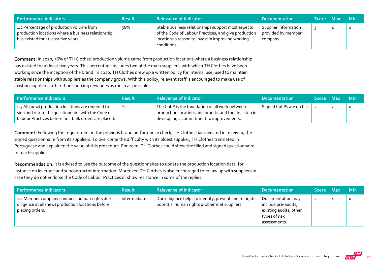| Performance indicators                                                                                                                 | <b>Result</b> | <b>Relevance of Indicator</b>                                                                                                                                                  | <b>Documentation</b>                                   | <b>Score</b> | Max | <b>Min</b> |
|----------------------------------------------------------------------------------------------------------------------------------------|---------------|--------------------------------------------------------------------------------------------------------------------------------------------------------------------------------|--------------------------------------------------------|--------------|-----|------------|
| 1.2 Percentage of production volume from<br>production locations where a business relationship<br>has existed for at least five years. | 56%           | Stable business relationships support most aspects<br>of the Code of Labour Practices, and give production<br>locations a reason to invest in improving working<br>conditions. | Supplier information<br>provided by member<br>company. |              |     | $\circ$    |

Comment: In 2020, 56% of TH Clothes' production volume came from production locations where a business relationship has existed for at least five years. This percentage includes two of the main suppliers, with which TH Clothes have been working since the inception of the brand. In 2020, TH Clothes drew up a written policy for internal use, used to maintain stable relationships with suppliers as the company grows. With this policy, relevant staff is encouraged to make use of existing suppliers rather than sourcing new ones as much as possible.

| l Performance indicators                                                                                                                                          | <b>Result</b> | <b>Relevance of Indicator</b>                                                                                                                        | <b>Documentation</b>      | Score Max | -Min    |
|-------------------------------------------------------------------------------------------------------------------------------------------------------------------|---------------|------------------------------------------------------------------------------------------------------------------------------------------------------|---------------------------|-----------|---------|
| 1.3 All (new) production locations are required to<br>sign and return the questionnaire with the Code of<br>Labour Practices before first bulk orders are placed. | Yes           | The CoLP is the foundation of all work between<br>production locations and brands, and the first step in<br>developing a commitment to improvements. | Signed CoLPs are on file. |           | $\circ$ |

Comment: Following the requirement in the previous brand performance check, TH Clothes has invested in receiving the signed questionnaire from its suppliers. To overcome the difficulty with its oldest supplier, TH Clothes translated in Portuguese and explained the value of this procedure. For 2020, TH Clothes could show the filled and signed questionnaire for each supplier.

Recommendation: It is advised to use the outcome of the questionnaires to update the production location data, for instance on leverage and subcontractor information. Moreover, TH Clothes is also encouraged to follow up with suppliers in case they do not endorse the Code of Labour Practices or show resistance in some of the replies.

| Performance indicators                                                                                                | <b>Result</b> | <b>Relevance of Indicator</b>                                                                          | <b>Documentation</b>                                                                                | Score Max | <b>Min</b> |
|-----------------------------------------------------------------------------------------------------------------------|---------------|--------------------------------------------------------------------------------------------------------|-----------------------------------------------------------------------------------------------------|-----------|------------|
| 1.4 Member company conducts human rights due<br>diligence at all (new) production locations before<br>placing orders. | Intermediate  | Due diligence helps to identify, prevent and mitigate<br>potential human rights problems at suppliers. | Documentation may<br>include pre-audits,<br>existing audits, other<br>types of risk<br>assessments. |           | $\circ$    |

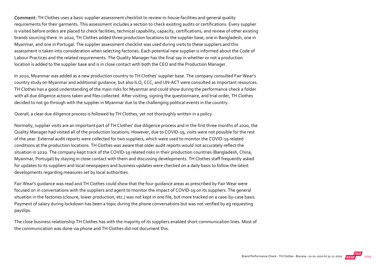Comment: TH Clothes uses a basic supplier assessment checklist to review in‐house facilities and general quality requirements for their garments. This assessment includes a section to check existing audits or certifications. Every supplier is visited before orders are placed to check facilities, technical capability, capacity, certifications, and review of other existing brands sourcing there. In 2020, TH Clothes added three production locations to the supplier base, one in Bangladesh, one in Myanmar, and one in Portugal. The supplier assessment checklist was used during visits to these suppliers and this assessment is taken into consideration when selecting factories. Each potential new supplier is informed about the Code of Labour Practices and the related requirements. The Quality Manager has the final say in whether or not a production location is added to the supplier base and is in close contact with both the CEO and the Production Manager.

In 2020, Myanmar was added as a new production country to TH Clothes' supplier base. The company consulted Fair Wear's country study on Myanmar and additional guidance, but also ILO, CCC, and UN‐ACT were consulted as important resources. TH Clothes has a good understanding of the main risks for Myanmar and could show during the performance check a folder with all due diligence actions taken and files collected. After visiting, signing the questionnaire, and trial order, TH Clothes decided to not go through with the supplier in Myanmar due to the challenging political events in the country.

Overall, a clear due diligence process is followed by TH Clothes, yet not thoroughly written in a policy.

Normally, supplier visits are an important part of TH Clothes' due diligence process and in the first three months of 2020, the Quality Manager had visited all of the production locations. However, due to COVID‐19, visits were not possible for the rest of the year. External audit reports were collected for two suppliers, which were used to monitor the COVID‐19 related conditions at the production locations. TH Clothes was aware that older audit reports would not accurately reflect the situation in 2020. The company kept track of the COVID‐19 related risks in their production countries (Bangladesh, China, Myanmar, Portugal) by staying in close contact with them and discussing developments. TH Clothes staff frequently asked for updates to its suppliers and local newspapers and business updates were checked on a daily basis to follow the latest developments regarding measures set by local authorities.

Fair Wear's guidance was read and TH Clothes could show that the four guidance areas as prescribed by Fair Wear were focused on in conversations with the suppliers and agent to monitor the impact of COVID‐19 on its suppliers. The general situation in the factories (closure, lower production, etc.) was not kept in one file, but more tracked on a case-by-case basis. Payment of salary during lockdown has been a topic during the phone conversations but was not verified by eg requesting payslips.

The close business relationship TH Clothes has with the majority of its suppliers enabled short communication lines. Most of the communication was done via phone and TH Clothes did not document this.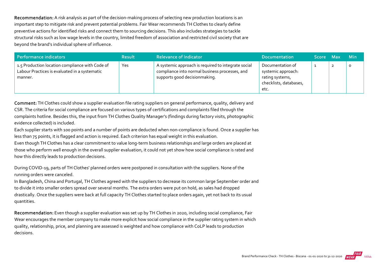Recommendation: A risk analysis as part of the decision-making process of selecting new production locations is an important step to mitigate risk and prevent potential problems. Fair Wear recommends TH Clothes to clearly define preventive actions for identified risks and connect them to sourcing decisions. This also includes strategies to tackle structural risks such as low wage levels in the country, limited freedom of association and restricted civil society that are beyond the brand's individual sphere of influence.

| Performance indicators                                                                                      | <b>Result</b> | <b>Relevance of Indicator</b>                                                                                                          | <b>Documentation</b>                                                                        | <b>Score</b> | <b>Max</b> | <b>Min</b> |
|-------------------------------------------------------------------------------------------------------------|---------------|----------------------------------------------------------------------------------------------------------------------------------------|---------------------------------------------------------------------------------------------|--------------|------------|------------|
| 1.5 Production location compliance with Code of<br>Labour Practices is evaluated in a systematic<br>manner. | Yes           | A systemic approach is required to integrate social<br>compliance into normal business processes, and<br>supports good decisionmaking. | Documentation of<br>systemic approach:<br>rating systems,<br>checklists, databases,<br>etc. |              |            |            |

Comment: TH Clothes could show a supplier evaluation file rating suppliers on general performance, quality, delivery and CSR. The criteria for social compliance are focused on various types of certifications and complaints filed through the complaints hotline. Besides this, the input from TH Clothes Quality Manager's (findings during factory visits, photographic evidence collected) is included.

Each supplier starts with 100 points and a number of points are deducted when non‐compliance is found. Once a supplier has less than 75 points, it is flagged and action is required. Each criterion has equal weight in this evaluation.

Even though TH Clothes has a clear commitment to value long‐term business relationships and large orders are placed at those who perform well enough in the overall supplier evaluation, it could not yet show how social compliance is rated and how this directly leads to production decisions.

During COVID‐19, parts of TH Clothes' planned orders were postponed in consultation with the suppliers. None of the running orders were canceled.

In Bangladesh, China and Portugal, TH Clothes agreed with the suppliers to decrease its common large September order and to divide it into smaller orders spread over several months. The extra orders were put on hold, as sales had dropped drastically. Once the suppliers were back at full capacity TH Clothes started to place orders again, yet not back to its usual quantities.

Recommendation: Even though a supplier evaluation was set up by TH Clothes in 2020, including social compliance, Fair Wear encourages the member company to make more explicit how social compliance in the supplier rating system in which quality, relationship, price, and planning are assessed is weighted and how compliance with CoLP leads to production decisions.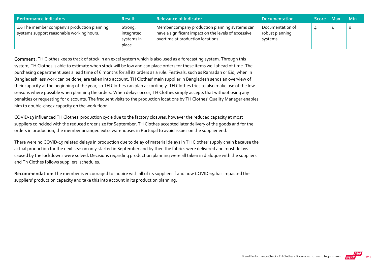| Performance indicators                                                                    | <b>Result</b>                                 | <b>Relevance of Indicator</b>                                                                                                               | <b>Documentation</b>                            | <b>Score</b> | -Max | <b>Min</b> |
|-------------------------------------------------------------------------------------------|-----------------------------------------------|---------------------------------------------------------------------------------------------------------------------------------------------|-------------------------------------------------|--------------|------|------------|
| 1.6 The member company's production planning<br>systems support reasonable working hours. | Strong,<br>integrated<br>systems in<br>place. | Member company production planning systems can<br>have a significant impact on the levels of excessive<br>overtime at production locations. | Documentation of<br>robust planning<br>systems. |              |      | $\circ$    |

Comment: TH Clothes keeps track of stock in an excel system which is also used as a forecasting system. Through this system, TH Clothes is able to estimate when stock will be low and can place orders for these items well ahead of time. The purchasing department uses a lead time of 6 months for all its orders as a rule. Festivals, such as Ramadan or Eid, when in Bangladesh less work can be done, are taken into account. TH Clothes' main supplier in Bangladesh sends an overview of their capacity at the beginning of the year, so TH Clothes can plan accordingly. TH Clothes tries to also make use of the low seasons where possible when planning the orders. When delays occur, TH Clothes simply accepts that without using any penalties or requesting for discounts. The frequent visits to the production locations by TH Clothes' Quality Manager enables him to double‐check capacity on the work floor.

COVID‐19 influenced TH Clothes' production cycle due to the factory closures, however the reduced capacity at most suppliers coincided with the reduced order size for September. TH Clothes accepted later delivery of the goods and for the orders in production, the member arranged extra warehouses in Portugal to avoid issues on the supplier end.

There were no COVID‐19 related delays in production due to delay of material delays in TH Clothes' supply chain because the actual production for the next season only started in September and by then the fabrics were delivered and most delays caused by the lockdowns were solved. Decisions regarding production planning were all taken in dialogue with the suppliers and Th Clothes follows suppliers' schedules.

Recommendation: The member is encouraged to inquire with all of its suppliers if and how COVID-19 has impacted the suppliers' production capacity and take this into account in its production planning.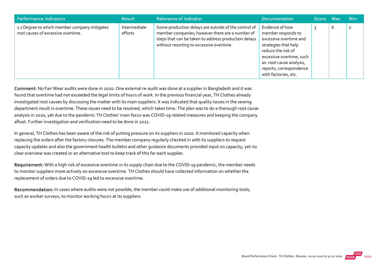| Performance indicators                                                             | <b>Result</b>           | <b>Relevance of Indicator</b>                                                                                                                                                                               | <b>Documentation</b>                                                                                                                                                                                                     | Score Max |   | <b>Min</b> |
|------------------------------------------------------------------------------------|-------------------------|-------------------------------------------------------------------------------------------------------------------------------------------------------------------------------------------------------------|--------------------------------------------------------------------------------------------------------------------------------------------------------------------------------------------------------------------------|-----------|---|------------|
| 1.7 Degree to which member company mitigates<br>root causes of excessive overtime. | Intermediate<br>efforts | Some production delays are outside of the control of<br>member companies; however there are a number of<br>steps that can be taken to address production delays<br>without resorting to excessive overtime. | Evidence of how<br>member responds to<br>excessive overtime and<br>strategies that help<br>reduce the risk of<br>excessive overtime, such<br>as: root cause analysis,<br>reports, correspondence<br>with factories, etc. |           | 6 | $\circ$    |

Comment: No Fair Wear audits were done in 2020. One external re-audit was done at a supplier in Bangladesh and it was found that overtime had not exceeded the legal limits of hours of work. In the previous financial year, TH Clothes already investigated root causes by discussing the matter with its main suppliers. It was indicated that quality issues in the sewing department result in overtime. These issues need to be resolved, which takes time. The plan was to do a thorough root cause analysis in 2020, yet due to the pandemic TH Clothes' main focus was COVID‐19 related measures and keeping the company afloat. Further investigation and verification need to be done in 2021.

In general, TH Clothes has been aware of the risk of putting pressure on its suppliers in 2020. It monitored capacity when replacing the orders after the factory closures. The member company regularly checked in with its suppliers to request capacity updates and also the government health bulletin and other guidance documents provided input on capacity, yet no clear overview was created or an alternative tool to keep track of this for each supplier.

Requirement: With a high risk of excessive overtime in its supply chain due to the COVID-19 pandemic, the member needs to monitor suppliers more actively on excessive overtime. TH Clothes should have collected information on whether the replacement of orders due to COVID‐19 led to excessive overtime.

Recommendation: In cases where audits were not possible, the member could make use of additional monitoring tools, such as worker surveys, to monitor working hours at its suppliers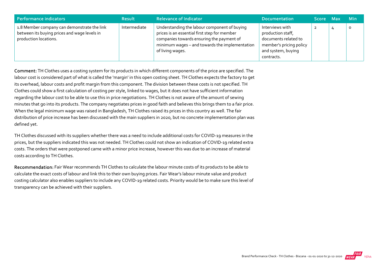| Performance indicators                                                                                               | <b>Result</b> | <b>Relevance of Indicator</b>                                                                                                                                                                                   | <b>Documentation</b>                                                                                                        | Score Max | <b>Min</b> |
|----------------------------------------------------------------------------------------------------------------------|---------------|-----------------------------------------------------------------------------------------------------------------------------------------------------------------------------------------------------------------|-----------------------------------------------------------------------------------------------------------------------------|-----------|------------|
| 1.8 Member company can demonstrate the link<br>between its buying prices and wage levels in<br>production locations. | Intermediate  | Understanding the labour component of buying<br>prices is an essential first step for member<br>companies towards ensuring the payment of<br>minimum wages - and towards the implementation<br>of living wages. | Interviews with<br>production staff,<br>documents related to<br>member's pricing policy<br>and system, buying<br>contracts. | ∠         |            |

Comment: TH Clothes uses a costing system for its products in which different components of the price are specified. The labour cost is considered part of what is called the 'margin' in this open costing sheet. TH Clothes expects the factory to get its overhead, labour costs and profit margin from this component. The division between these costs is not specified. TH Clothes could show a first calculation of costing per style, linked to wages, but it does not have sufficient information regarding the labour cost to be able to use this in price negotiations. TH Clothes is not aware of the amount of sewing minutes that go into its products. The company negotiates prices in good faith and believes this brings them to a fair price. When the legal minimum wage was raised in Bangladesh, TH Clothes raised its prices in this country as well. The fair distribution of price increase has been discussed with the main suppliers in 2020, but no concrete implementation plan was defined yet.

TH Clothes discussed with its suppliers whether there was a need to include additional costs for COVID‐19 measures in the prices, but the suppliers indicated this was not needed. TH Clothes could not show an indication of COVID‐19 related extra costs. The orders that were postponed came with a minor price increase, however this was due to an increase of material costs according to TH Clothes.

Recommendation: Fair Wear recommends TH Clothes to calculate the labour minute costs of its products to be able to calculate the exact costs of labour and link this to their own buying prices. Fair Wear's labour minute value and product costing calculator also enables suppliers to include any COVID‐19 related costs. Priority would be to make sure this level of transparency can be achieved with their suppliers.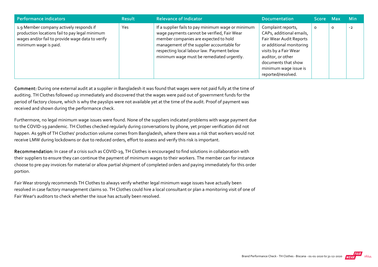| Performance indicators                                                                                                                                                 | <b>Result</b> | <b>Relevance of Indicator</b>                                                                                                                                                                                                                                                       | <b>Documentation</b>                                                                                                                                                                                                      | Score Max |                | <b>Min</b> |
|------------------------------------------------------------------------------------------------------------------------------------------------------------------------|---------------|-------------------------------------------------------------------------------------------------------------------------------------------------------------------------------------------------------------------------------------------------------------------------------------|---------------------------------------------------------------------------------------------------------------------------------------------------------------------------------------------------------------------------|-----------|----------------|------------|
| 1.9 Member company actively responds if<br>production locations fail to pay legal minimum<br>wages and/or fail to provide wage data to verify<br>minimum wage is paid. | Yes           | If a supplier fails to pay minimum wage or minimum<br>wage payments cannot be verified, Fair Wear<br>member companies are expected to hold<br>management of the supplier accountable for<br>respecting local labour law. Payment below<br>minimum wage must be remediated urgently. | Complaint reports,<br>CAPs, additional emails,<br>Fair Wear Audit Reports<br>or additional monitoring<br>visits by a Fair Wear<br>auditor, or other<br>documents that show<br>minimum wage issue is<br>reported/resolved. | $\circ$   | $\mathsf{o}\,$ | $-2$       |

Comment: During one external audit at a supplier in Bangladesh it was found that wages were not paid fully at the time of auditing. TH Clothes followed up immediately and discovered that the wages were paid out of government funds for the period of factory closure, which is why the payslips were not available yet at the time of the audit. Proof of payment was received and shown during the performance check.

Furthermore, no legal minimum wage issues were found. None of the suppliers indicated problems with wage payment due to the COVID‐19 pandemic. TH Clothes checked regularly during conversations by phone, yet proper verification did not happen. As 99% of TH Clothes' production volume comes from Bangladesh, where there was a risk that workers would not receive LMW during lockdowns or due to reduced orders, effort to assess and verify this risk is important.

Recommendation: In case of a crisis such as COVID-19, TH Clothes is encouraged to find solutions in collaboration with their suppliers to ensure they can continue the payment of minimum wages to their workers. The member can for instance choose to pre‐pay invoices for material or allow partial shipment of completed orders and paying immediately for this order portion.

Fair Wear strongly recommends TH Clothes to always verify whether legal minimum wage issues have actually been resolved in case factory management claims so. TH Clothes could hire a local consultant or plan a monitoring visit of one of Fair Wear's auditors to check whether the issue has actually been resolved.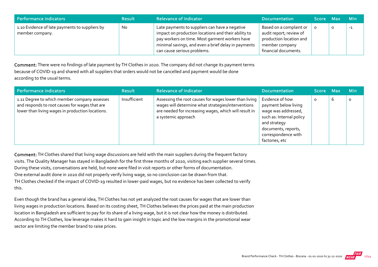| Performance indicators                                            | <b>Result</b> | <b>Relevance of Indicator</b>                                                                                                                                                                                                                 | <b>Documentation</b>                                                                                                    | Score Max |   | <b>Min</b> |
|-------------------------------------------------------------------|---------------|-----------------------------------------------------------------------------------------------------------------------------------------------------------------------------------------------------------------------------------------------|-------------------------------------------------------------------------------------------------------------------------|-----------|---|------------|
| 1.10 Evidence of late payments to suppliers by<br>member company. | No            | Late payments to suppliers can have a negative<br>impact on production locations and their ability to<br>pay workers on time. Most garment workers have<br>minimal savings, and even a brief delay in payments<br>can cause serious problems. | Based on a complaint or<br>audit report; review of<br>production location and<br>member company<br>financial documents. |           | O | -1         |

Comment: There were no findings of late payment by TH Clothes in 2020. The company did not change its payment terms because of COVID‐19 and shared with all suppliers that orders would not be cancelled and payment would be done according to the usual terms.

| Performance indicators                                                                                                                             | <b>Result</b> | <b>Relevance of Indicator</b>                                                                                                                                                               | <b>Documentation</b>                                                                                                                                                       | Score Max |   | <b>Min</b> |
|----------------------------------------------------------------------------------------------------------------------------------------------------|---------------|---------------------------------------------------------------------------------------------------------------------------------------------------------------------------------------------|----------------------------------------------------------------------------------------------------------------------------------------------------------------------------|-----------|---|------------|
| 1.11 Degree to which member company assesses<br>and responds to root causes for wages that are<br>lower than living wages in production locations. | Insufficient  | Assessing the root causes for wages lower than living<br>wages will determine what strategies/interventions<br>are needed for increasing wages, which will result in<br>a systemic approach | Evidence of how<br>payment below living<br>wage was addressed,<br>such as: Internal policy<br>and strategy<br>documents, reports,<br>correspondence with<br>factories, etc | $\circ$   | b | $\circ$    |

Comment: TH Clothes shared that living wage discussions are held with the main suppliers during the frequent factory visits. The Quality Manager has stayed in Bangladesh for the first three months of 2020, visiting each supplier several times. During these visits, conversations are held, but none were filed in visit reports or other forms of documentation. One external audit done in 2020 did not properly verify living wage, so no conclusion can be drawn from that. TH Clothes checked if the impact of COVID‐19 resulted in lower‐paid wages, but no evidence has been collected to verify this.

Even though the brand has a general idea, TH Clothes has not yet analyzed the root causes for wages that are lower than living wages in production locations. Based on its costing sheet, TH Clothes believes the prices paid at the main production location in Bangladesh are sufficient to pay for its share of a living wage, but it is not clear how the money is distributed. According to TH Clothes, low leverage makes it hard to gain insight in topic and the low margins in the promotional wear sector are limiting the member brand to raise prices.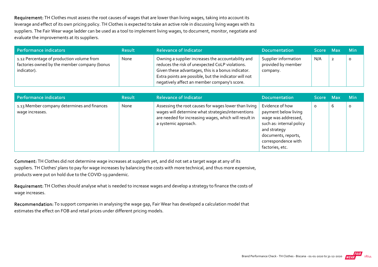Requirement: TH Clothes must assess the root causes of wages that are lower than living wages, taking into account its leverage and effect of its own pricing policy. TH Clothes is expected to take an active role in discussing living wages with its suppliers. The Fair Wear wage ladder can be used as a tool to implement living wages, to document, monitor, negotiate and evaluate the improvements at its suppliers.

| Performance indicators                                                                                   | <b>Result</b> | <b>Relevance of Indicator</b>                                                                                                                                                                                                                                        | <b>Documentation</b>                                   | Score Max | <b>Min</b> |
|----------------------------------------------------------------------------------------------------------|---------------|----------------------------------------------------------------------------------------------------------------------------------------------------------------------------------------------------------------------------------------------------------------------|--------------------------------------------------------|-----------|------------|
| 1.12 Percentage of production volume from<br>factories owned by the member company (bonus<br>indicator). | None          | Owning a supplier increases the accountability and<br>reduces the risk of unexpected CoLP violations.<br>Given these advantages, this is a bonus indicator.<br>Extra points are possible, but the indicator will not<br>negatively affect an member company's score. | Supplier information<br>provided by member<br>company. | N/A       |            |

| <b>Performance indicators</b>                                  | <b>Result</b> | <b>Relevance of Indicator</b>                                                                                                                                                                | <b>Documentation</b>                                                                                                                                                        | Score Max |   | <b>Min</b> |
|----------------------------------------------------------------|---------------|----------------------------------------------------------------------------------------------------------------------------------------------------------------------------------------------|-----------------------------------------------------------------------------------------------------------------------------------------------------------------------------|-----------|---|------------|
| 1.13 Member company determines and finances<br>wage increases. | None          | Assessing the root causes for wages lower than living<br>wages will determine what strategies/interventions<br>are needed for increasing wages, which will result in<br>a systemic approach. | Evidence of how<br>payment below living<br>wage was addressed,<br>such as: internal policy<br>and strategy<br>documents, reports,<br>correspondence with<br>factories, etc. | O         | 6 |            |

Comment: TH Clothes did not determine wage increases at suppliers yet, and did not set a target wage at any of its suppliers. TH Clothes' plans to pay for wage increases by balancing the costs with more technical, and thus more expensive, products were put on hold due to the COVID‐19 pandemic.

Requirement: TH Clothes should analyse what is needed to increase wages and develop a strategy to finance the costs of wage increases.

Recommendation: To support companies in analysing the wage gap, Fair Wear has developed a calculation model that estimates the effect on FOB and retail prices under different pricing models.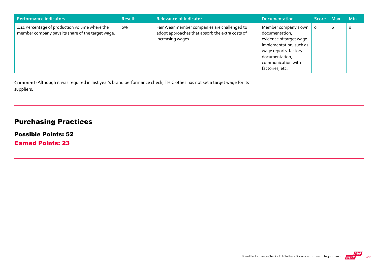| Performance indicators                                                                              | <b>Result</b> | <b>Relevance of Indicator</b>                                                                                        | <b>Documentation</b>                                                                                                                                                             | Score Max |   | <b>Min</b> |
|-----------------------------------------------------------------------------------------------------|---------------|----------------------------------------------------------------------------------------------------------------------|----------------------------------------------------------------------------------------------------------------------------------------------------------------------------------|-----------|---|------------|
| 1.14 Percentage of production volume where the<br>member company pays its share of the target wage. | о%            | Fair Wear member companies are challenged to<br>adopt approaches that absorb the extra costs of<br>increasing wages. | Member company's own<br>documentation,<br>evidence of target wage<br>implementation, such as<br>wage reports, factory<br>documentation,<br>communication with<br>factories, etc. |           | b | O          |

Comment: Although it was required in last year's brand performance check, TH Clothes has not set a target wage for its suppliers.

## Purchasing Practices

Possible Points: 52

Earned Points: 23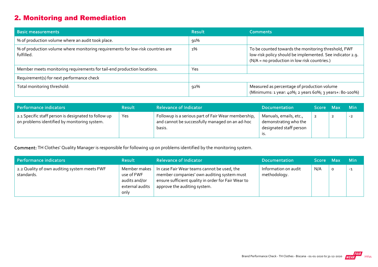# 2. Monitoring and Remediation

| <b>Basic measurements</b>                                                                     | <b>Result</b> | <b>Comments</b>                                                                                                                                                  |
|-----------------------------------------------------------------------------------------------|---------------|------------------------------------------------------------------------------------------------------------------------------------------------------------------|
| % of production volume where an audit took place.                                             | 91%           |                                                                                                                                                                  |
| % of production volume where monitoring requirements for low-risk countries are<br>fulfilled. | $1\%$         | To be counted towards the monitoring threshold, FWF<br>low-risk policy should be implemented. See indicator 2.9.<br>(N/A = no production in low risk countries.) |
| Member meets monitoring requirements for tail-end production locations.                       | Yes           |                                                                                                                                                                  |
| Requirement(s) for next performance check                                                     |               |                                                                                                                                                                  |
| Total monitoring threshold:                                                                   | 92%           | Measured as percentage of production volume<br>(Minimums: 1 year: 40%; 2 years 60%; 3 years+: 80-100%)                                                           |

| Performance indicators                                                                               | <b>Result</b> | <b>Relevance of Indicator</b>                                                                                    | <b>Documentation</b>                                                              | Score Max |                | <b>Min</b> |
|------------------------------------------------------------------------------------------------------|---------------|------------------------------------------------------------------------------------------------------------------|-----------------------------------------------------------------------------------|-----------|----------------|------------|
| 2.1 Specific staff person is designated to follow up<br>on problems identified by monitoring system. | Yes           | Followup is a serious part of Fair Wear membership,<br>and cannot be successfully managed on an ad-hoc<br>basis. | Manuals, emails, etc.,<br>demonstrating who the<br>designated staff person<br>.כו |           | $\overline{2}$ | $-2$       |

Comment: TH Clothes' Quality Manager is responsible for following up on problems identified by the monitoring system.

| Performance indicators                                     | <b>Result</b>                                                          | <b>Relevance of Indicator</b>                                                                                                                                                    | <b>Documentation</b>                 | Score Max |   | <b>Min</b> |
|------------------------------------------------------------|------------------------------------------------------------------------|----------------------------------------------------------------------------------------------------------------------------------------------------------------------------------|--------------------------------------|-----------|---|------------|
| 2.2 Quality of own auditing system meets FWF<br>standards. | Member makes<br>use of FWF<br>audits and/or<br>external audits<br>only | In case Fair Wear teams cannot be used, the<br>member companies' own auditing system must<br>ensure sufficient quality in order for Fair Wear to<br>approve the auditing system. | Information on audit<br>methodology. | N/A       | 0 | $-1$       |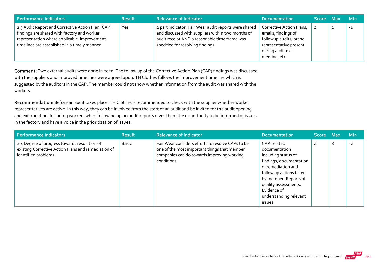| Performance indicators                                                                                                                                                                            | <b>Result</b> | <b>Relevance of Indicator</b>                                                                                                                                                                    | <b>Documentation</b>                                                                                                                      | Score Max | <b>Min</b> |
|---------------------------------------------------------------------------------------------------------------------------------------------------------------------------------------------------|---------------|--------------------------------------------------------------------------------------------------------------------------------------------------------------------------------------------------|-------------------------------------------------------------------------------------------------------------------------------------------|-----------|------------|
| 2.3 Audit Report and Corrective Action Plan (CAP)<br>findings are shared with factory and worker<br>representation where applicable. Improvement<br>timelines are established in a timely manner. | Yes           | 2 part indicator: Fair Wear audit reports were shared<br>and discussed with suppliers within two months of<br>audit receipt AND a reasonable time frame was<br>specified for resolving findings. | Corrective Action Plans,<br>emails; findings of<br>followup audits; brand<br>representative present<br>during audit exit<br>meeting, etc. |           | $-1$       |

Comment: Two external audits were done in 2020. The follow up of the Corrective Action Plan (CAP) findings was discussed with the suppliers and improved timelines were agreed upon. TH Clothes follows the improvement timeline which is suggested by the auditors in the CAP. The member could not show whether information from the audit was shared with the workers.

Recommendation: Before an audit takes place, TH Clothes is recommended to check with the supplier whether worker representatives are active. In this way, they can be involved from the start of an audit and be invited for the audit opening and exit meeting. Including workers when following up on audit reports gives them the opportunity to be informed of issues in the factory and have a voice in the prioritization of issues.

| Performance indicators                                                                                                      | <b>Result</b> | <b>Relevance of Indicator</b>                                                                                                                                  | <b>Documentation</b>                                                                                                                                                                                                                 | Score Max |   | <b>Min</b> |
|-----------------------------------------------------------------------------------------------------------------------------|---------------|----------------------------------------------------------------------------------------------------------------------------------------------------------------|--------------------------------------------------------------------------------------------------------------------------------------------------------------------------------------------------------------------------------------|-----------|---|------------|
| 2.4 Degree of progress towards resolution of<br>existing Corrective Action Plans and remediation of<br>identified problems. | Basic         | Fair Wear considers efforts to resolve CAPs to be<br>one of the most important things that member<br>companies can do towards improving working<br>conditions. | CAP-related<br>documentation<br>including status of<br>findings, documentation<br>of remediation and<br>follow up actions taken<br>by member. Reports of<br>quality assessments.<br>Evidence of<br>understanding relevant<br>issues. |           | 8 | $-2$       |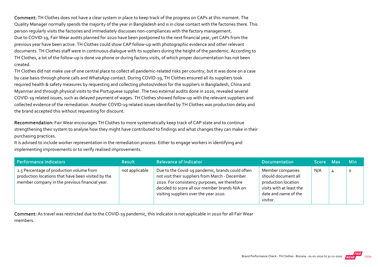Comment: TH Clothes does not have a clear system in place to keep track of the progress on CAPs at this moment. The Quality Manager normally spends the majority of the year in Bangladesh and is in close contact with the factories there. This person regularly visits the factories and immediately discusses non‐compliances with the factory management. Due to COVID-19, Fair Wear audits planned for 2020 have been postponed to the next financial year, yet CAPs from the previous year have been active. TH Clothes could show CAP follow‐up with photographic evidence and other relevant documents. TH Clothes staff were in continuous dialogue with its suppliers during the height of the pandemic. According to TH Clothes, a lot of the follow‐up is done via phone or during factory visits, of which proper documentation has not been created.

TH Clothes did not make use of one central place to collect all pandemic‐related risks per country, but it was done on a case by case basis through phone calls and WhatsApp contact. During COVID‐19, TH Clothes ensured all its suppliers took required health & safety measures by requesting and collecting photos/videos for the suppliers in Bangladesh, China and Myanmar and through physical visits to the Portuguese supplier. The two external audits done in 2020, revealed several COVID‐19 related issues, such as delayed payment of wages. TH Clothes showed follow‐up with the relevant suppliers and collected evidence of the remediation. Another COVID‐19 related issues identified by TH Clothes was production delay and the brand accepted this without requesting for discount.

Recommendation: Fair Wear encourages TH Clothes to more systematically keep track of CAP state and to continue strengthening their system to analyse how they might have contributed to findings and what changes they can make in their purchasing practices.

It is advised to include worker representation in the remediation process. Either to engage workers in identifying and implementing improvements or to verify realised improvements.

| Performance indicators                                                                                                                           | <b>Result</b>  | <b>Relevance of Indicator</b>                                                                                                                                                                                                                  | Documentation                                                                                                                  | Score Max |   | <b>Min</b> |
|--------------------------------------------------------------------------------------------------------------------------------------------------|----------------|------------------------------------------------------------------------------------------------------------------------------------------------------------------------------------------------------------------------------------------------|--------------------------------------------------------------------------------------------------------------------------------|-----------|---|------------|
| 2.5 Percentage of production volume from<br>production locations that have been visited by the<br>member company in the previous financial year. | not applicable | Due to the Covid-19 pandemic, brands could often<br>not visit their suppliers from March - December<br>2020. For consistency purposes, we therefore<br>decided to score all our member brands N/A on<br>visiting suppliers over the year 2020. | Member companies<br>should document all<br>production location<br>visits with at least the<br>date and name of the<br>visitor. | N/A       | 4 | $\circ$    |

Comment: As travel was restricted due to the COVID‐19 pandemic, this indicator is not applicable in 2020 for all Fair Wear members.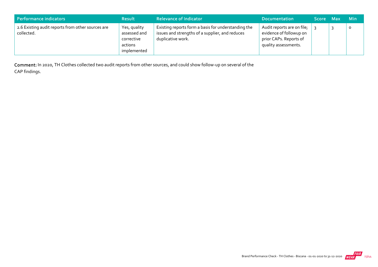| Performance indicators                                          | <b>Result</b>                                                        | <b>Relevance of Indicator</b>                                                                                               | <b>Documentation</b>                                                                                    | Score Max | - Min   |
|-----------------------------------------------------------------|----------------------------------------------------------------------|-----------------------------------------------------------------------------------------------------------------------------|---------------------------------------------------------------------------------------------------------|-----------|---------|
| 2.6 Existing audit reports from other sources are<br>collected. | Yes, quality<br>assessed and<br>corrective<br>actions<br>implemented | Existing reports form a basis for understanding the<br>issues and strengths of a supplier, and reduces<br>duplicative work. | Audit reports are on file;<br>evidence of followup on<br>prior CAPs. Reports of<br>quality assessments. |           | $\circ$ |

Comment: In 2020, TH Clothes collected two audit reports from other sources, and could show follow‐up on several of the CAP findings.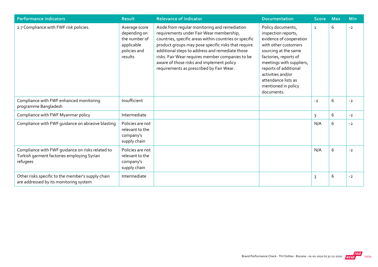| <b>Performance indicators</b>                                                                              | <b>Result</b>                                                                           | <b>Relevance of Indicator</b>                                                                                                                                                                                                                                                                                                                                                                              | Documentation                                                                                                                                                                                                                                                                      | <b>Score</b> | <b>Max</b> | Min  |
|------------------------------------------------------------------------------------------------------------|-----------------------------------------------------------------------------------------|------------------------------------------------------------------------------------------------------------------------------------------------------------------------------------------------------------------------------------------------------------------------------------------------------------------------------------------------------------------------------------------------------------|------------------------------------------------------------------------------------------------------------------------------------------------------------------------------------------------------------------------------------------------------------------------------------|--------------|------------|------|
| 2.7 Compliance with FWF risk policies.                                                                     | Average score<br>depending on<br>the number of<br>applicable<br>policies and<br>results | Aside from regular monitoring and remediation<br>requirements under Fair Wear membership,<br>countries, specific areas within countries or specific<br>product groups may pose specific risks that require<br>additional steps to address and remediate those<br>risks. Fair Wear requires member companies to be<br>aware of those risks and implement policy<br>requirements as prescribed by Fair Wear. | Policy documents,<br>inspection reports,<br>evidence of cooperation<br>with other customers<br>sourcing at the same<br>factories, reports of<br>meetings with suppliers,<br>reports of additional<br>activities and/or<br>attendance lists as<br>mentioned in policy<br>documents. | $\mathbf{1}$ | 6          | $-2$ |
| Compliance with FWF enhanced monitoring<br>programme Bangladesh                                            | Insufficient                                                                            |                                                                                                                                                                                                                                                                                                                                                                                                            |                                                                                                                                                                                                                                                                                    | $-2$         | 6          | $-2$ |
| Compliance with FWF Myanmar policy                                                                         | Intermediate                                                                            |                                                                                                                                                                                                                                                                                                                                                                                                            |                                                                                                                                                                                                                                                                                    | 3            | 6          | $-2$ |
| Compliance with FWF guidance on abrasive blasting                                                          | Policies are not<br>relevant to the<br>company's<br>supply chain                        |                                                                                                                                                                                                                                                                                                                                                                                                            |                                                                                                                                                                                                                                                                                    | N/A          | 6          | $-2$ |
| Compliance with FWF guidance on risks related to<br>Turkish garment factories employing Syrian<br>refugees | Policies are not<br>relevant to the<br>company's<br>supply chain                        |                                                                                                                                                                                                                                                                                                                                                                                                            |                                                                                                                                                                                                                                                                                    | N/A          | 6          | $-2$ |
| Other risks specific to the member's supply chain<br>are addressed by its monitoring system                | Intermediate                                                                            |                                                                                                                                                                                                                                                                                                                                                                                                            |                                                                                                                                                                                                                                                                                    | 3            | 6          | $-2$ |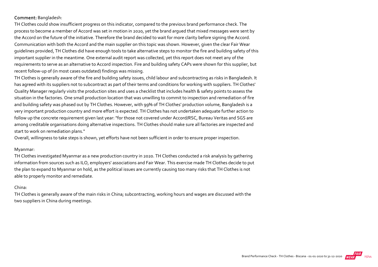#### Comment: Bangladesh:

TH Clothes could show insufficient progress on this indicator, compared to the previous brand performance check. The process to become a member of Accord was set in motion in 2020, yet the brand argued that mixed messages were sent by the Accord on the future of the initiative. Therefore the brand decided to wait for more clarity before signing the Accord. Communication with both the Accord and the main supplier on this topic was shown. However, given the clear Fair Wear guidelines provided, TH Clothes did have enough tools to take alternative steps to monitor the fire and building safety of this important supplier in the meantime. One external audit report was collected, yet this report does not meet any of the requirements to serve as an alternative to Accord inspection. Fire and building safety CAPs were shown for this supplier, but recent follow‐up of (in most cases outdated) findings was missing.

TH Clothes is generally aware of the fire and building safety issues, child labour and subcontracting as risks in Bangladesh. It has agreed with its suppliers not to subcontract as part of their terms and conditions for working with suppliers. TH Clothes' Quality Manager regularly visits the production sites and uses a checklist that includes health & safety points to assess the situation in the factories. One small production location that was unwilling to commit to inspection and remediation of fire and building safety was phased out by TH Clothes. However, with 99% of TH Clothes' production volume, Bangladesh is a very important production country and more effort is expected. TH Clothes has not undertaken adequate further action to follow up the concrete requirement given last year: "for those not covered under Accord/RSC, Bureau Veritas and SGS are among creditable organisations doing alternative inspections. TH Clothes should make sure all factories are inspected and start to work on remediation plans."

Overall, willingness to take steps is shown, yet efforts have not been sufficient in order to ensure proper inspection.

#### Myanmar:

TH Clothes investigated Myanmar as a new production country in 2020. TH Clothes conducted a risk analysis by gathering information from sources such as ILO, employers' associations and Fair Wear. This exercise made TH Clothes decide to put the plan to expand to Myanmar on hold, as the political issues are currently causing too many risks that TH Clothes is not able to properly monitor and remediate.

#### China:

TH Clothes is generally aware of the main risks in China; subcontracting, working hours and wages are discussed with the two suppliers in China during meetings.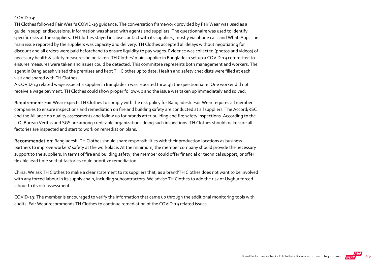#### COVID-19:

TH Clothes followed Fair Wear's COVID‐19 guidance. The conversation framework provided by Fair Wear was used as a guide in supplier discussions. Information was shared with agents and suppliers. The questionnaire was used to identify specific risks at the suppliers. TH Clothes stayed in close contact with its suppliers, mostly via phone calls and WhatsApp. The main issue reported by the suppliers was capacity and delivery. TH Clothes accepted all delays without negotiating for discount and all orders were paid beforehand to ensure liquidity to pay wages. Evidence was collected (photos and videos) of necessary health & safety measures being taken. TH Clothes' main supplier in Bangladesh set up a COVID‐19 committee to ensures measures were taken and issues could be detected. This committee represents both management and workers. The agent in Bangladesh visited the premises and kept TH Clothes up to date. Health and safety checklists were filled at each visit and shared with TH Clothes.

A COVID‐19 related wage issue at a supplier in Bangladesh was reported through the questionnaire. One worker did not receive a wage payment. TH Clothes could show proper follow‐up and the issue was taken up immediately and solved.

Requirement: Fair Wear expects TH Clothes to comply with the risk policy for Bangladesh. Fair Wear requires all member companies to ensure inspections and remediation on fire and building safety are conducted at all suppliers. The Accord/RSC and the Alliance do quality assessments and follow up for brands after building and fire safety inspections. According to the ILO, Bureau Veritas and SGS are among creditable organizations doing such inspections. TH Clothes should make sure all factories are inspected and start to work on remediation plans.

Recommendation: Bangladesh: TH Clothes should share responsibilities with their production locations as business partners to improve workers' safety at the workplace. At the minimum, the member company should provide the necessary support to the suppliers. In terms of fire and building safety, the member could offer financial or technical support, or offer flexible lead time so that factories could prioritize remediation.

China: We ask TH Clothes to make a clear statement to its suppliers that, as a brand'TH Clothes does not want to be involved with any forced labour in its supply chain, including subcontractors. We advise TH Clothes to add the risk of Uyghur forced labour to its risk assessment.

COVID‐19: The member is encouraged to verify the information that came up through the additional monitoring tools with audits. Fair Wear recommends TH Clothes to continue remediation of the COVID‐19 related issues.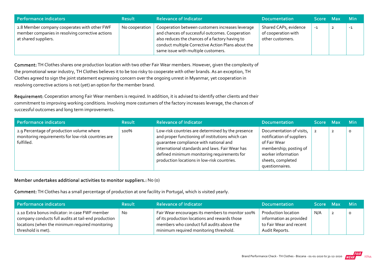| Performance indicators                                                                                                   | <b>Result</b>  | <b>Relevance of Indicator</b>                                                                                                                                                                                                                       | <b>Documentation</b>                                             | Score Max | – Min |
|--------------------------------------------------------------------------------------------------------------------------|----------------|-----------------------------------------------------------------------------------------------------------------------------------------------------------------------------------------------------------------------------------------------------|------------------------------------------------------------------|-----------|-------|
| 2.8 Member company cooperates with other FWF<br>member companies in resolving corrective actions<br>at shared suppliers. | No cooperation | Cooperation between customers increases leverage<br>and chances of successful outcomes. Cooperation<br>also reduces the chances of a factory having to<br>conduct multiple Corrective Action Plans about the<br>same issue with multiple customers. | Shared CAPs, evidence<br>of cooperation with<br>other customers. | $-1$      | -1    |

Comment: TH Clothes shares one production location with two other Fair Wear members. However, given the complexity of the promotional wear industry, TH Clothes believes it to be too risky to cooperate with other brands. As an exception, TH Clothes agreed to sign the joint statement expressing concern over the ongoing unrest in Myanmar, yet cooperation in resolving corrective actions is not (yet) an option for the member brand.

Requirement: Cooperation among Fair Wear members is required. In addition, it is advised to identify other clients and their commitment to improving working conditions. Involving more costumers of the factory increases leverage, the chances of successful outcomes and long term improvements.

| Performance indicators                                                                                        | <b>Result</b> | <b>Relevance of Indicator</b>                                                                                                                                                                                                                                                                    | <b>Documentation</b>                                                                                                                                          | Score Max |                | <b>Min</b> |
|---------------------------------------------------------------------------------------------------------------|---------------|--------------------------------------------------------------------------------------------------------------------------------------------------------------------------------------------------------------------------------------------------------------------------------------------------|---------------------------------------------------------------------------------------------------------------------------------------------------------------|-----------|----------------|------------|
| 2.9 Percentage of production volume where<br>monitoring requirements for low-risk countries are<br>fulfilled. | 100%          | Low-risk countries are determined by the presence<br>and proper functioning of institutions which can<br>quarantee compliance with national and<br>international standards and laws. Fair Wear has<br>defined minimum monitoring requirements for<br>production locations in low-risk countries. | Documentation of visits,<br>notification of suppliers<br>of Fair Wear<br>membership; posting of<br>worker information<br>sheets, completed<br>questionnaires. |           | $\overline{2}$ | $\circ$    |

#### Member undertakes additional activities to monitor suppliers.: No (0)

Comment: TH Clothes has a small percentage of production at one facility in Portugal, which is visited yearly.

| Performance indicators                                                                                                                                                         | <b>Result</b> | <b>Relevance of Indicator</b>                                                                                                                                                            | <b>Documentation</b>                                                                        | Score Max | ⊟Min |
|--------------------------------------------------------------------------------------------------------------------------------------------------------------------------------|---------------|------------------------------------------------------------------------------------------------------------------------------------------------------------------------------------------|---------------------------------------------------------------------------------------------|-----------|------|
| 2.10 Extra bonus indicator: in case FWF member<br>company conducts full audits at tail-end production<br>locations (when the minimum required monitoring<br>threshold is met). | <b>No</b>     | Fair Wear encourages its members to monitor 100%<br>of its production locations and rewards those<br>members who conduct full audits above the<br>minimum required monitoring threshold. | Production location<br>information as provided<br>to Fair Wear and recent<br>Audit Reports. | N/A       |      |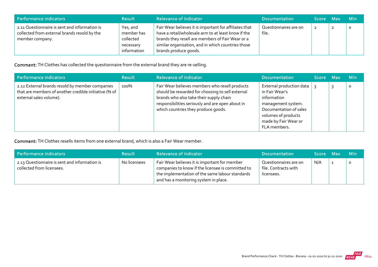| Performance indicators                                                                                           | <b>Result</b>                                                   | <b>Relevance of Indicator</b>                                                                                                                                                                                                                    | <b>Documentation</b>           | Score Max      | <b>Min</b> |
|------------------------------------------------------------------------------------------------------------------|-----------------------------------------------------------------|--------------------------------------------------------------------------------------------------------------------------------------------------------------------------------------------------------------------------------------------------|--------------------------------|----------------|------------|
| 2.11 Questionnaire is sent and information is<br>collected from external brands resold by the<br>member company. | Yes, and<br>member has<br>collected<br>necessary<br>information | Fair Wear believes it is important for affiliates that<br>have a retail/wholesale arm to at least know if the<br>brands they resell are members of Fair Wear or a<br>similar organisation, and in which countries those<br>brands produce goods. | Questionnaires are on<br>file. | $\overline{2}$ | O          |

#### Comment: TH Clothes has collected the questionnaire from the external brand they are re-selling.

| Performance indicators                                                                                                              | <b>Result</b> | <b>Relevance of Indicator</b>                                                                                                                                                                                                            | <b>Documentation</b>                                                                                                                                                     | Score Max | <b>Min</b> |
|-------------------------------------------------------------------------------------------------------------------------------------|---------------|------------------------------------------------------------------------------------------------------------------------------------------------------------------------------------------------------------------------------------------|--------------------------------------------------------------------------------------------------------------------------------------------------------------------------|-----------|------------|
| 2.12 External brands resold by member companies<br>that are members of another credible initiative (% of<br>external sales volume). | 100%          | Fair Wear believes members who resell products<br>should be rewarded for choosing to sell external<br>brands who also take their supply chain<br>responsibilities seriously and are open about in<br>which countries they produce goods. | External production data<br>in Fair Wear's<br>information<br>management system.<br>Documentation of sales<br>volumes of products<br>made by Fair Wear or<br>FLA members. |           | 0          |

Comment: TH Clothes resells items from one external brand, which is also a Fair Wear member.

| Performance indicators                                                     | <b>Result</b> | <b>Relevance of Indicator</b>                                                                                                                                                                  | <b>Documentation</b>                                        | Score Max | <b>Min</b> |
|----------------------------------------------------------------------------|---------------|------------------------------------------------------------------------------------------------------------------------------------------------------------------------------------------------|-------------------------------------------------------------|-----------|------------|
| 2.13 Questionnaire is sent and information is<br>collected from licensees. | No licensees  | Fair Wear believes it is important for member<br>companies to know if the licensee is committed to<br>the implementation of the same labour standards<br>and has a monitoring system in place. | Questionnaires are on<br>file. Contracts with<br>licensees. | N/A       |            |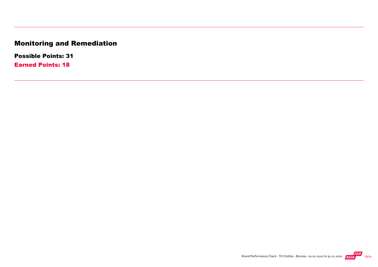# Monitoring and Remediation

Possible Points: 31

Earned Points: 18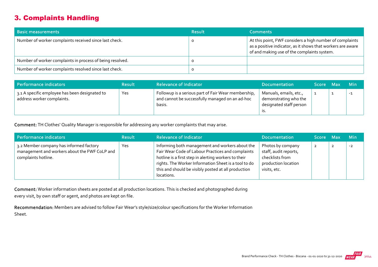## 3. Complaints Handling

| <b>Basic measurements</b>                                 | <b>Result</b> | <b>Comments</b>                                                                                                                                                        |
|-----------------------------------------------------------|---------------|------------------------------------------------------------------------------------------------------------------------------------------------------------------------|
| Number of worker complaints received since last check.    |               | At this point, FWF considers a high number of complaints<br>as a positive indicator, as it shows that workers are aware<br>of and making use of the complaints system. |
| Number of worker complaints in process of being resolved. |               |                                                                                                                                                                        |
| Number of worker complaints resolved since last check.    |               |                                                                                                                                                                        |

| Performance indicators                                                       | <b>Result</b> | <b>Relevance of Indicator</b>                                                                                    | <b>Documentation</b>                                                       | Score Max | <b>Min</b> |
|------------------------------------------------------------------------------|---------------|------------------------------------------------------------------------------------------------------------------|----------------------------------------------------------------------------|-----------|------------|
| 3.1 A specific employee has been designated to<br>address worker complaints. | Yes           | Followup is a serious part of Fair Wear membership,<br>and cannot be successfully managed on an ad-hoc<br>basis. | Manuals, emails, etc.,<br>demonstrating who the<br>designated staff person |           | $-1$       |

Comment: TH Clothes' Quality Manager is responsible for addressing any worker complaints that may arise.

| Performance indicators                                                                                          | <b>Result</b> | <b>Relevance of Indicator</b>                                                                                                                                                                                                                                                             | <b>Documentation</b>                                                                                 | Score Max    | <b>Min</b> |
|-----------------------------------------------------------------------------------------------------------------|---------------|-------------------------------------------------------------------------------------------------------------------------------------------------------------------------------------------------------------------------------------------------------------------------------------------|------------------------------------------------------------------------------------------------------|--------------|------------|
| 3.2 Member company has informed factory<br>management and workers about the FWF CoLP and<br>complaints hotline. | Yes           | Informing both management and workers about the<br>Fair Wear Code of Labour Practices and complaints<br>hotline is a first step in alerting workers to their<br>rights. The Worker Information Sheet is a tool to do<br>this and should be visibly posted at all production<br>locations. | Photos by company<br>staff, audit reports,<br>checklists from<br>production location<br>visits, etc. | $\mathbf{2}$ | $-2$       |

Comment: Worker information sheets are posted at all production locations. This is checked and photographed during every visit, by own staff or agent, and photos are kept on file.

Recommendation: Members are advised to follow Fair Wear's style/size/colour specifications for the Worker Information Sheet.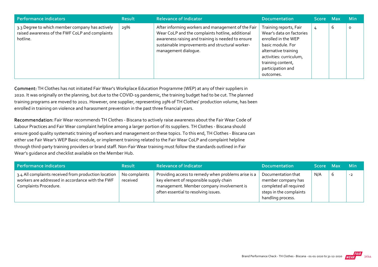| <b>Performance indicators</b>                                                                                  | <b>Result</b> | <b>Relevance of Indicator</b>                                                                                                                                                                                                           | <b>Documentation</b>                                                                                                                                                                                     | Score Max |   | Min     |
|----------------------------------------------------------------------------------------------------------------|---------------|-----------------------------------------------------------------------------------------------------------------------------------------------------------------------------------------------------------------------------------------|----------------------------------------------------------------------------------------------------------------------------------------------------------------------------------------------------------|-----------|---|---------|
| 3.3 Degree to which member company has actively<br>raised awareness of the FWF CoLP and complaints<br>hotline. | 29%           | After informing workers and management of the Fair<br>Wear CoLP and the complaints hotline, additional<br>awareness raising and training is needed to ensure<br>sustainable improvements and structural worker-<br>management dialogue. | Training reports, Fair<br>Wear's data on factories<br>enrolled in the WEP<br>basic module. For<br>alternative training<br>activities: curriculum,<br>training content,<br>participation and<br>outcomes. | 4         | ь | $\circ$ |

Comment: TH Clothes has not initiated Fair Wear's Workplace Education Programme (WEP) at any of their suppliers in 2020. It was originally on the planning, but due to the COVID‐19 pandemic, the training budget had to be cut. The planned training programs are moved to 2021. However, one supplier, representing 29% of TH Clothes' production volume, has been enrolled in training on violence and harassment prevention in the past three financial years.

Recommendation: Fair Wear recommends TH Clothes ‐ Biscana to actively raise awareness about the Fair Wear Code of Labour Practices and Fair Wear complaint helpline among a larger portion of its suppliers. TH Clothes ‐ Biscana should ensure good quality systematic training of workers and management on these topics. To this end, TH Clothes ‐ Biscana can either use Fair Wear's WEP Basic module, or implement training related to the Fair Wear CoLP and complaint helpline through third‐party training providers or brand staff. Non‐Fair Wear training must follow the standards outlined in Fair Wear's guidance and checklist available on the Member Hub.

| Performance indicators                                                                                                            | <b>Result</b>             | <b>Relevance of Indicator</b>                                                                                                                                                       | <b>Documentation</b>                                                                                               | Score Max |   | <b>Min</b> |
|-----------------------------------------------------------------------------------------------------------------------------------|---------------------------|-------------------------------------------------------------------------------------------------------------------------------------------------------------------------------------|--------------------------------------------------------------------------------------------------------------------|-----------|---|------------|
| 3.4 All complaints received from production location<br>workers are addressed in accordance with the FWF<br>Complaints Procedure. | No complaints<br>received | Providing access to remedy when problems arise is a<br>key element of responsible supply chain<br>management. Member company involvement is<br>often essential to resolving issues. | Documentation that<br>member company has<br>completed all required<br>steps in the complaints<br>handling process. | N/A       | b | $-2$       |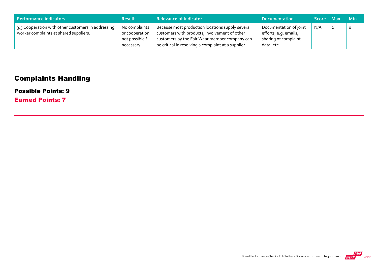| Performance indicators                                                                       | <b>Result</b>                                                  | <b>Relevance of Indicator</b>                                                                                                                                                                             | <b>Documentation</b>                                                                  | Score Max | <b>Min</b> |
|----------------------------------------------------------------------------------------------|----------------------------------------------------------------|-----------------------------------------------------------------------------------------------------------------------------------------------------------------------------------------------------------|---------------------------------------------------------------------------------------|-----------|------------|
| 3.5 Cooperation with other customers in addressing<br>worker complaints at shared suppliers. | No complaints<br>or cooperation<br>not possible /<br>necessary | Because most production locations supply several<br>customers with products, involvement of other<br>customers by the Fair Wear member company can<br>be critical in resolving a complaint at a supplier. | Documentation of joint<br>efforts, e.g. emails,<br>sharing of complaint<br>data, etc. | N/A       |            |

# Complaints Handling

#### Possible Points: 9

Earned Points: 7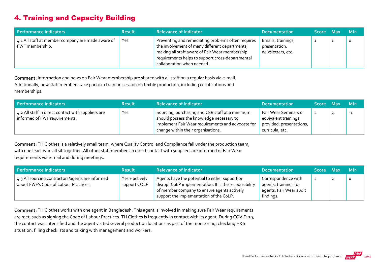# 4. Training and Capacity Building

| Performance indicators                                               | <b>Result</b> | <b>Relevance of Indicator</b>                                                                                                                                                                                                            | <b>Documentation</b>                                     | Score Max | <b>Min</b> |
|----------------------------------------------------------------------|---------------|------------------------------------------------------------------------------------------------------------------------------------------------------------------------------------------------------------------------------------------|----------------------------------------------------------|-----------|------------|
| 4.1 All staff at member company are made aware of<br>FWF membership. | Yes           | Preventing and remediating problems often requires<br>the involvement of many different departments;<br>making all staff aware of Fair Wear membership<br>requirements helps to support cross-departmental<br>collaboration when needed. | Emails, trainings,<br>presentation,<br>newsletters, etc. |           | Ω          |

Comment: Information and news on Fair Wear membership are shared with all staff on a regular basis via e‐mail. Additionally, new staff members take part in a training session on textile production, including certifications and memberships.

| Performance indicators                                                              | <b>Result</b> | <b>Relevance of Indicator</b>                                                                                                                                                           | <b>Documentation</b>                                                                         | Score Max | <b>Min</b> |
|-------------------------------------------------------------------------------------|---------------|-----------------------------------------------------------------------------------------------------------------------------------------------------------------------------------------|----------------------------------------------------------------------------------------------|-----------|------------|
| 4.2 All staff in direct contact with suppliers are<br>informed of FWF requirements. | Yes           | Sourcing, purchasing and CSR staff at a minimum<br>should possess the knowledge necessary to<br>implement Fair Wear requirements and advocate for<br>change within their organisations. | Fair Wear Seminars or<br>equivalent trainings<br>provided; presentations,<br>curricula, etc. |           | $-1$       |

Comment: TH Clothes is a relatively small team, where Quality Control and Compliance fall under the production team, with one lead, who all sit together. All other staff members in direct contact with suppliers are informed of Fair Wear requirements via e‐mail and during meetings.

| Performance indicators                                                                    | <b>Result</b>                  | <b>Relevance of Indicator</b>                                                                                                                                                                     | <b>Documentation</b>                                                                 | Score Max      | <b>Min</b> |
|-------------------------------------------------------------------------------------------|--------------------------------|---------------------------------------------------------------------------------------------------------------------------------------------------------------------------------------------------|--------------------------------------------------------------------------------------|----------------|------------|
| 4.3 All sourcing contractors/agents are informed<br>about FWF's Code of Labour Practices. | Yes + actively<br>support COLP | Agents have the potential to either support or<br>disrupt CoLP implementation. It is the responsibility<br>of member company to ensure agents actively<br>support the implementation of the CoLP. | Correspondence with<br>agents, trainings for<br>agents, Fair Wear audit<br>findings. | $\overline{z}$ | $\circ$    |

Comment: TH Clothes works with one agent in Bangladesh. This agent is involved in making sure Fair Wear requirements are met, such as signing the Code of Labour Practices. TH Clothes is frequently in contact with its agent. During COVID-19, the contact was intensified and the agent visited several production locations as part of the monitoring; checking H&S situation, filling checklists and talking with management and workers.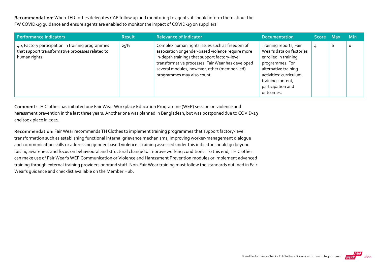Recommendation: When TH Clothes delegates CAP follow up and monitoring to agents, it should inform them about the FW COVID‐19 guidance and ensure agents are enabled to monitor the impact of COVID‐19 on suppliers.

| Performance indicators                                                                                                | <b>Result</b> | <b>Relevance of Indicator</b>                                                                                                                                                                                                                                                           | <b>Documentation</b>                                                                                                                                                                                    | Score Max |   | <b>Min</b> |
|-----------------------------------------------------------------------------------------------------------------------|---------------|-----------------------------------------------------------------------------------------------------------------------------------------------------------------------------------------------------------------------------------------------------------------------------------------|---------------------------------------------------------------------------------------------------------------------------------------------------------------------------------------------------------|-----------|---|------------|
| 4.4 Factory participation in training programmes<br>that support transformative processes related to<br>human rights. | 29%           | Complex human rights issues such as freedom of<br>association or gender-based violence require more<br>in-depth trainings that support factory-level<br>transformative processes. Fair Wear has developed<br>several modules, however, other (member-led)<br>programmes may also count. | Training reports, Fair<br>Wear's data on factories<br>enrolled in training<br>programmes. For<br>alternative training<br>activities: curriculum,<br>training content,<br>participation and<br>outcomes. | 4         | b | $\circ$    |

Comment: TH Clothes has initiated one Fair Wear Workplace Education Programme (WEP) session on violence and harassment prevention in the last three years. Another one was planned in Bangladesh, but was postponed due to COVID‐19 and took place in 2021.

Recommendation: Fair Wear recommends TH Clothes to implement training programmes that support factory-level transformation such as establishing functional internal grievance mechanisms, improving worker‐management dialogue and communication skills or addressing gender‐based violence. Training assessed under this indicator should go beyond raising awareness and focus on behavioural and structural change to improve working conditions. To this end, TH Clothes can make use of Fair Wear's WEP Communication or Violence and Harassment Prevention modules or implement advanced training through external training providers or brand staff. Non‐Fair Wear training must follow the standards outlined in Fair Wear's guidance and checklist available on the Member Hub.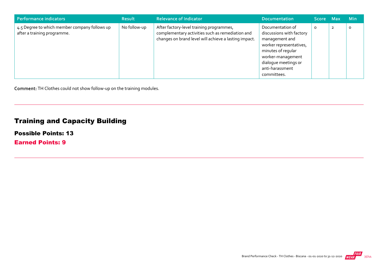| Performance indicators                                                       | <b>Result</b> | <b>Relevance of Indicator</b>                                                                                                                         | <b>Documentation</b>                                                                                                                                                                           | <b>Score</b> | <b>Max</b>     | <b>Min</b> |
|------------------------------------------------------------------------------|---------------|-------------------------------------------------------------------------------------------------------------------------------------------------------|------------------------------------------------------------------------------------------------------------------------------------------------------------------------------------------------|--------------|----------------|------------|
| 4.5 Degree to which member company follows up<br>after a training programme. | No follow-up  | After factory-level training programmes,<br>complementary activities such as remediation and<br>changes on brand level will achieve a lasting impact. | Documentation of<br>discussions with factory<br>management and<br>worker representatives,<br>minutes of regular<br>worker-management<br>dialogue meetings or<br>anti-harassment<br>committees. | O            | $\overline{2}$ | O          |

Comment: TH Clothes could not show follow‐up on the training modules.

# Training and Capacity Building

Possible Points: 13

Earned Points: 9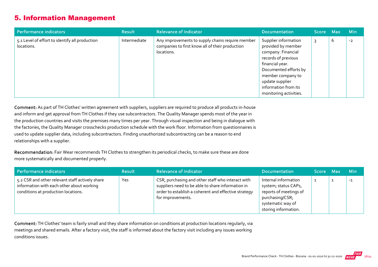## 5. Information Management

| Performance indicators                                       | <b>Result</b> | <b>Relevance of Indicator</b>                                                                                     | <b>Documentation</b>                                                                                                                                                                                                          | Score Max |   | <b>Min</b> |
|--------------------------------------------------------------|---------------|-------------------------------------------------------------------------------------------------------------------|-------------------------------------------------------------------------------------------------------------------------------------------------------------------------------------------------------------------------------|-----------|---|------------|
| 5.1 Level of effort to identify all production<br>locations. | Intermediate  | Any improvements to supply chains require member<br>companies to first know all of their production<br>locations. | Supplier information<br>provided by member<br>company. Financial<br>records of previous<br>financial year.<br>Documented efforts by<br>member company to<br>update supplier<br>information from its<br>monitoring activities. |           | b | $-2$       |

Comment: As part of TH Clothes' written agreement with suppliers, suppliers are required to produce all products in‐house and inform and get approval from TH Clothes if they use subcontractors. The Quality Manager spends most of the year in the production countries and visits the premises many times per year. Through visual inspection and being in dialogue with the factories, the Quality Manager crosschecks production schedule with the work floor. Information from questionnaires is used to update supplier data, including subcontractors. Finding unauthorized subcontracting can be a reason to end relationships with a supplier.

Recommendation: Fair Wear recommends TH Clothes to strengthen its periodical checks, to make sure these are done more systematically and documented properly.

| Performance indicators                                                                                                              | <b>Result</b> | <b>Relevance of Indicator</b>                                                                                                                                                       | <b>Documentation</b>                                                                                                                   | Score Max | <b>Min</b> |
|-------------------------------------------------------------------------------------------------------------------------------------|---------------|-------------------------------------------------------------------------------------------------------------------------------------------------------------------------------------|----------------------------------------------------------------------------------------------------------------------------------------|-----------|------------|
| 5.2 CSR and other relevant staff actively share<br>information with each other about working<br>conditions at production locations. | Yes           | CSR, purchasing and other staff who interact with<br>suppliers need to be able to share information in<br>order to establish a coherent and effective strategy<br>for improvements. | Internal information<br>system; status CAPs,<br>reports of meetings of<br>purchasing/CSR;<br>systematic way of<br>storing information. |           | $-1$       |

Comment: TH Clothes' team is fairly small and they share information on conditions at production locations regularly, via meetings and shared emails. After a factory visit, the staff is informed about the factory visit including any issues working conditions issues.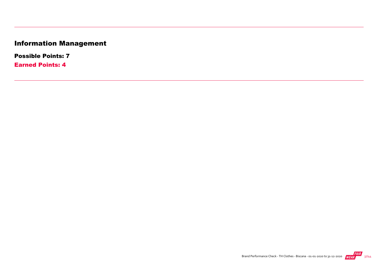# Information Management

Possible Points: 7

Earned Points: 4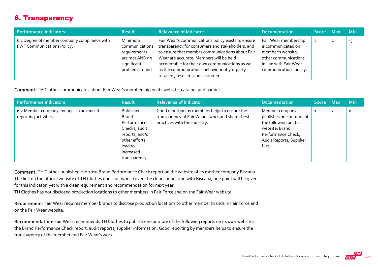## 6. Transparency

| Performance indicators                                                     | <b>Result</b>                                                                                | <b>Relevance of Indicator</b>                                                                                                                                                                                                                                                                                                                   | <b>Documentation</b>                                                                                                                        | Score Max | <b>Min</b> |
|----------------------------------------------------------------------------|----------------------------------------------------------------------------------------------|-------------------------------------------------------------------------------------------------------------------------------------------------------------------------------------------------------------------------------------------------------------------------------------------------------------------------------------------------|---------------------------------------------------------------------------------------------------------------------------------------------|-----------|------------|
| 6.1 Degree of member company compliance with<br>FWF Communications Policy. | Minimum<br>communications<br>requirements<br>are met AND no<br>significant<br>problems found | Fair Wear's communications policy exists to ensure<br>transparency for consumers and stakeholders, and<br>to ensure that member communications about Fair<br>Wear are accurate. Members will be held<br>accountable for their own communications as well<br>as the communications behaviour of 3rd-party<br>retailers, resellers and customers. | Fair Wear membership<br>is communicated on<br>member's website;<br>other communications<br>in line with Fair Wear<br>communications policy. |           | -3         |

Comment: TH Clothes communicates about Fair Wear's membership on its website, catalog, and banner.

| Performance indicators                                          | <b>Result</b>                                                                                                                   | <b>Relevance of Indicator</b>                                                                                                     | <b>Documentation</b>                                                                                                                             | $ {\sf Score}-{\sf Max} $ |                | <b>Min</b> |
|-----------------------------------------------------------------|---------------------------------------------------------------------------------------------------------------------------------|-----------------------------------------------------------------------------------------------------------------------------------|--------------------------------------------------------------------------------------------------------------------------------------------------|---------------------------|----------------|------------|
| 6.2 Member company engages in advanced<br>reporting activities. | Published<br>Brand<br>Performance<br>Checks, audit<br>reports, and/or<br>other efforts<br>lead to<br>increased<br>transparency. | Good reporting by members helps to ensure the<br>transparency of Fair Wear's work and shares best<br>practices with the industry. | Member company<br>publishes one or more of<br>the following on their<br>website: Brand<br>Performance Check,<br>Audit Reports, Supplier<br>List. | 1                         | $\overline{2}$ | $\circ$    |

Comment: TH Clothes published the 2019 Brand Performance Check report on the website of its mother company Biscana. The link on the official website of TH Clothes does not work. Given the clear connection with Biscana, one point will be given

for this indicator, yet with a clear requirement and recommendation for next year.

TH Clothes has not disclosed production locations to other members in Fair Force and on the Fair Wear website.

Requirement: Fair Wear requires member brands to disclose production locations to other member brands in Fair Force and on the Fair Wear website.

Recommendation: Fair Wear recommends TH Clothes to publish one or more of the following reports on its own website: the Brand Performance Check report, audit reports, supplier information. Good reporting by members helps to ensure the transparency of the member and Fair Wear's work.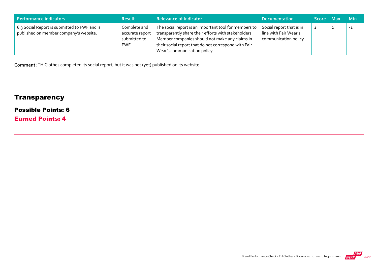| Performance indicators                                                                 | <b>Result</b>                                                 | <b>Relevance of Indicator</b>                                                                                                                                                                                                                           | <b>Documentation</b>                                                       | Score Max | <b>Min</b> |
|----------------------------------------------------------------------------------------|---------------------------------------------------------------|---------------------------------------------------------------------------------------------------------------------------------------------------------------------------------------------------------------------------------------------------------|----------------------------------------------------------------------------|-----------|------------|
| 6.3 Social Report is submitted to FWF and is<br>published on member company's website. | Complete and<br>accurate report<br>submitted to<br><b>FWF</b> | The social report is an important tool for members to<br>transparently share their efforts with stakeholders.<br>Member companies should not make any claims in<br>their social report that do not correspond with Fair<br>Wear's communication policy. | Social report that is in<br>line with Fair Wear's<br>communication policy. |           | -1         |

Comment: TH Clothes completed its social report, but it was not (yet) published on its website.

# **Transparency**

#### Possible Points: 6

Earned Points: 4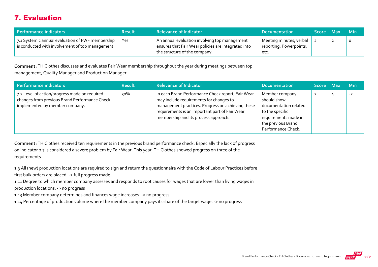# 7. Evaluation

| Performance indicators                                                                               | <b>Result</b> | <b>Relevance of Indicator</b>                                                                                                         | <b>Documentation</b>                                       | Score Max |   | – Min   |
|------------------------------------------------------------------------------------------------------|---------------|---------------------------------------------------------------------------------------------------------------------------------------|------------------------------------------------------------|-----------|---|---------|
| 7.1 Systemic annual evaluation of FWF membership<br>is conducted with involvement of top management. | Yes           | An annual evaluation involving top management<br>ensures that Fair Wear policies are integrated into<br>the structure of the company. | Meeting minutes, verbal<br>reporting, Powerpoints,<br>etc. |           | ◢ | $\circ$ |

Comment: TH Clothes discusses and evaluates Fair Wear membership throughout the year during meetings between top management, Quality Manager and Production Manager.

| Performance indicators                                                                                                           | <b>Result</b> | <b>Relevance of Indicator</b>                                                                                                                                                                                                               | <b>Documentation</b>                                                                                                                          | <b>Score</b> | - Max | <b>Min</b> |
|----------------------------------------------------------------------------------------------------------------------------------|---------------|---------------------------------------------------------------------------------------------------------------------------------------------------------------------------------------------------------------------------------------------|-----------------------------------------------------------------------------------------------------------------------------------------------|--------------|-------|------------|
| 7.2 Level of action/progress made on required<br>changes from previous Brand Performance Check<br>implemented by member company. | 30%           | In each Brand Performance Check report, Fair Wear<br>may include requirements for changes to<br>management practices. Progress on achieving these<br>requirements is an important part of Fair Wear<br>membership and its process approach. | Member company<br>should show<br>documentation related<br>to the specific<br>requirements made in<br>the previous Brand<br>Performance Check. | 2            |       | $-2$       |

Comment: TH Clothes received ten requirements in the previous brand performance check. Especially the lack of progress on indicator 2.7 is considered a severe problem by Fair Wear. This year, TH Clothes showed progress on three of the requirements.

1.3 All (new) production locations are required to sign and return the questionnaire with the Code of Labour Practices before first bulk orders are placed. ‐> full progress made

1.11 Degree to which member company assesses and responds to root causes for wages that are lower than living wages in production locations. ‐> no progress

1.13 Member company determines and finances wage increases. ‐> no progress

1.14 Percentage of production volume where the member company pays its share of the target wage. ‐> no progress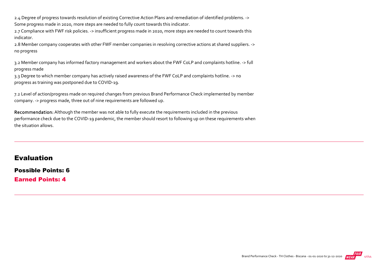2.4 Degree of progress towards resolution of existing Corrective Action Plans and remediation of identified problems. ‐> Some progress made in 2020, more steps are needed to fully count towards this indicator.

2.7 Compliance with FWF risk policies. ‐> insufficient progress made in 2020, more steps are needed to count towards this indicator.

2.8 Member company cooperates with other FWF member companies in resolving corrective actions at shared suppliers. ‐> no progress

3.2 Member company has informed factory management and workers about the FWF CoLP and complaints hotline. ‐> full progress made

3.3 Degree to which member company has actively raised awareness of the FWF CoLP and complaints hotline. ‐> no progress as training was postponed due to COVID‐19.

7.2 Level of action/progress made on required changes from previous Brand Performance Check implemented by member company. ‐> progress made, three out of nine requirements are followed up.

Recommendation: Although the member was not able to fully execute the requirements included in the previous performance check due to the COVID‐19 pandemic, the member should resort to following up on these requirements when the situation allows.

#### Evaluation

Possible Points: 6 Earned Points: 4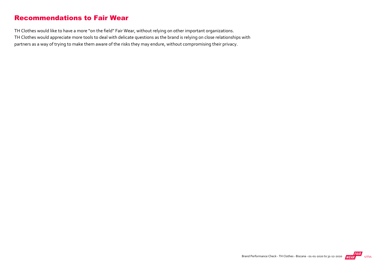### Recommendations to Fair Wear

TH Clothes would like to have a more "on the field" Fair Wear, without relying on other important organizations. TH Clothes would appreciate more tools to deal with delicate questions as the brand is relying on close relationships with partners as a way of trying to make them aware of the risks they may endure, without compromising their privacy.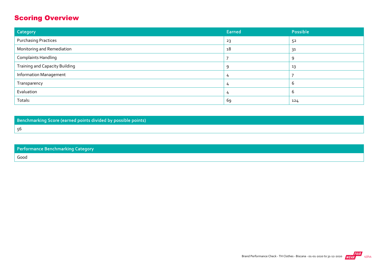# Scoring Overview

| Category                              | Earned  | Possible |
|---------------------------------------|---------|----------|
| <b>Purchasing Practices</b>           | 23      | 52       |
| Monitoring and Remediation            | 18      | 31       |
| <b>Complaints Handling</b>            |         | Q        |
| <b>Training and Capacity Building</b> | $\circ$ | 13       |
| <b>Information Management</b>         |         |          |
| Transparency                          |         | b        |
| Evaluation                            | 4       | ь        |
| Totals:                               | 69      | 124      |

Benchmarking Score (earned points divided by possible points) 56

| <b>Performance Benchmarking Category</b> |
|------------------------------------------|
| Good                                     |